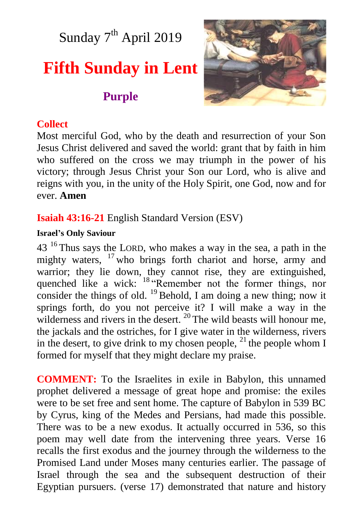Sunday 7<sup>th</sup> April 2019

# **Fifth Sunday in Lent**

# **Purple**



#### **Collect**

Most merciful God, who by the death and resurrection of your Son Jesus Christ delivered and saved the world: grant that by faith in him who suffered on the cross we may triumph in the power of his victory; through Jesus Christ your Son our Lord, who is alive and reigns with you, in the unity of the Holy Spirit, one God, now and for ever. **Amen**

### **Isaiah 43:16-21** English Standard Version (ESV)

#### **Israel's Only Saviour**

 $43<sup>16</sup>$  Thus says the LORD, who makes a way in the sea, a path in the mighty waters, <sup>17</sup> who brings forth chariot and horse, army and warrior; they lie down, they cannot rise, they are extinguished, quenched like a wick: <sup>18</sup> Remember not the former things, nor consider the things of old.  $^{19}$  Behold, I am doing a new thing; now it springs forth, do you not perceive it? I will make a way in the wilderness and rivers in the desert. <sup>20</sup> The wild beasts will honour me, the jackals and the ostriches, for I give water in the wilderness, rivers in the desert, to give drink to my chosen people,  $^{21}$  the people whom I formed for myself that they might declare my praise.

**COMMENT:** To the Israelites in exile in Babylon, this unnamed prophet delivered a message of great hope and promise: the exiles were to be set free and sent home. The capture of Babylon in 539 BC by Cyrus, king of the Medes and Persians, had made this possible. There was to be a new exodus. It actually occurred in 536, so this poem may well date from the intervening three years. Verse 16 recalls the first exodus and the journey through the wilderness to the Promised Land under Moses many centuries earlier. The passage of Israel through the sea and the subsequent destruction of their Egyptian pursuers. (verse 17) demonstrated that nature and history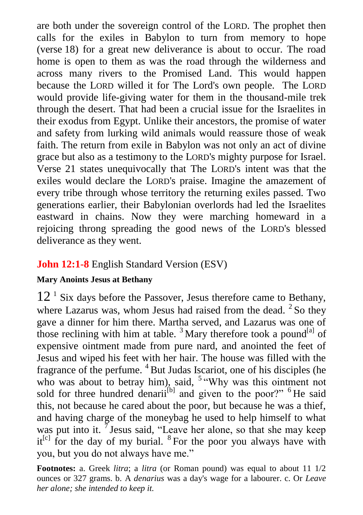are both under the sovereign control of the LORD. The prophet then calls for the exiles in Babylon to turn from memory to hope (verse 18) for a great new deliverance is about to occur. The road home is open to them as was the road through the wilderness and across many rivers to the Promised Land. This would happen because the LORD willed it for The Lord's own people. The LORD would provide life-giving water for them in the thousand-mile trek through the desert. That had been a crucial issue for the Israelites in their exodus from Egypt. Unlike their ancestors, the promise of water and safety from lurking wild animals would reassure those of weak faith. The return from exile in Babylon was not only an act of divine grace but also as a testimony to the LORD's mighty purpose for Israel. Verse 21 states unequivocally that The LORD's intent was that the exiles would declare the LORD's praise. Imagine the amazement of every tribe through whose territory the returning exiles passed. Two generations earlier, their Babylonian overlords had led the Israelites eastward in chains. Now they were marching homeward in a rejoicing throng spreading the good news of the LORD's blessed deliverance as they went.

# **John 12:1-8** English Standard Version (ESV)

#### **Mary Anoints Jesus at Bethany**

12<sup>1</sup> Six days before the Passover, Jesus therefore came to Bethany, where Lazarus was, whom Jesus had raised from the dead.  $2$  So they gave a dinner for him there. Martha served, and Lazarus was one of those reclining with him at table.<sup>3</sup> Mary therefore took a pound<sup>[a]</sup> of expensive ointment made from pure nard, and anointed the feet of Jesus and wiped his feet with her hair. The house was filled with the fragrance of the perfume. <sup>4</sup> But Judas Iscariot, one of his disciples (he who was about to betray him), said, <sup>5 "</sup>Why was this ointment not sold for three hundred denarii<sup>[b]</sup> and given to the poor?" <sup>6</sup> He said this, not because he cared about the poor, but because he was a thief, and having charge of the moneybag he used to help himself to what was put into it.  $\bar{7}$  Jesus said, "Leave her alone, so that she may keep  $it^{[c]}$  for the day of my burial. <sup>8</sup> For the poor you always have with you, but you do not always have me."

**Footnotes:** a. Greek *litra*; a *litra* (or Roman pound) was equal to about 11 1/2 ounces or 327 grams. b. A *denarius* was a day's wage for a labourer. c. Or *Leave her alone; she intended to keep it.*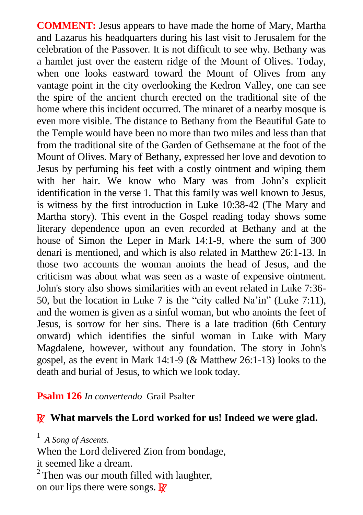**COMMENT:** Jesus appears to have made the home of Mary, Martha and Lazarus his headquarters during his last visit to Jerusalem for the celebration of the Passover. It is not difficult to see why. Bethany was a hamlet just over the eastern ridge of the Mount of Olives. Today, when one looks eastward toward the Mount of Olives from any vantage point in the city overlooking the Kedron Valley, one can see the spire of the ancient church erected on the traditional site of the home where this incident occurred. The minaret of a nearby mosque is even more visible. The distance to Bethany from the Beautiful Gate to the Temple would have been no more than two miles and less than that from the traditional site of the Garden of Gethsemane at the foot of the Mount of Olives. Mary of Bethany, expressed her love and devotion to Jesus by perfuming his feet with a costly ointment and wiping them with her hair. We know who Mary was from John's explicit identification in the verse 1. That this family was well known to Jesus, is witness by the first introduction in Luke 10:38-42 (The Mary and Martha story). This event in the Gospel reading today shows some literary dependence upon an even recorded at Bethany and at the house of Simon the Leper in Mark 14:1-9, where the sum of 300 denari is mentioned, and which is also related in Matthew 26:1-13. In those two accounts the woman anoints the head of Jesus, and the criticism was about what was seen as a waste of expensive ointment. John's story also shows similarities with an event related in Luke 7:36- 50, but the location in Luke 7 is the "city called Na'in" (Luke 7:11), and the women is given as a sinful woman, but who anoints the feet of Jesus, is sorrow for her sins. There is a late tradition (6th Century onward) which identifies the sinful woman in Luke with Mary Magdalene, however, without any foundation. The story in John's gospel, as the event in Mark 14:1-9 (& Matthew 26:1-13) looks to the death and burial of Jesus, to which we look today.

#### **Psalm 126** *In convertendo* Grail Psalter

#### R **What marvels the Lord worked for us! Indeed we were glad.**

1 *A Song of Ascents.* 

When the Lord delivered Zion from bondage,

it seemed like a dream.

 $2$ <sup>2</sup> Then was our mouth filled with laughter,

on our lips there were songs.  $\mathbb{R}^7$